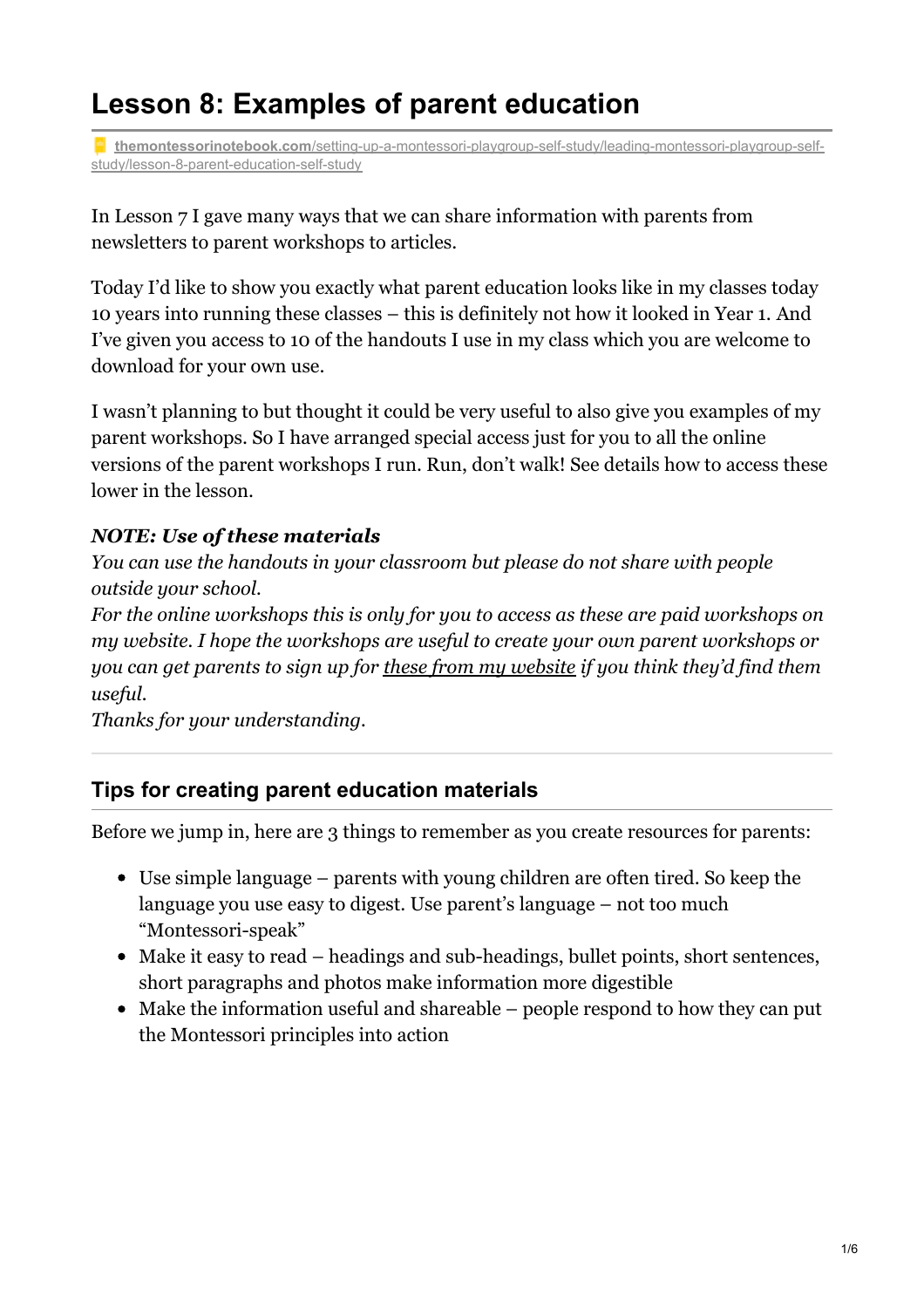# **Lesson 8: Examples of parent education**

**themontessorinotebook.com**[/setting-up-a-montessori-playgroup-self-study/leading-montessori-playgroup-self](https://www.themontessorinotebook.com/setting-up-a-montessori-playgroup-self-study/leading-montessori-playgroup-self-study/lesson-8-parent-education-self-study/)study/lesson-8-parent-education-self-study

In Lesson 7 I gave many ways that we can share information with parents from newsletters to parent workshops to articles.

Today I'd like to show you exactly what parent education looks like in my classes today 10 years into running these classes – this is definitely not how it looked in Year 1. And I've given you access to 10 of the handouts I use in my class which you are welcome to download for your own use.

I wasn't planning to but thought it could be very useful to also give you examples of my parent workshops. So I have arranged special access just for you to all the online versions of the parent workshops I run. Run, don't walk! See details how to access these lower in the lesson.

## *NOTE: Use of these materials*

*You can use the handouts in your classroom but please do not share with people outside your school.*

*For the online workshops this is only for you to access as these are paid workshops on my website. I hope the workshops are useful to create your own parent workshops or you can get parents to sign up for these from my [website](https://www.themontessorinotebook.com/online-courses/) if you think they'd find them useful.*

*Thanks for your understanding.*

#### **Tips for creating parent education materials**

Before we jump in, here are 3 things to remember as you create resources for parents:

- Use simple language parents with young children are often tired. So keep the language you use easy to digest. Use parent's language – not too much "Montessori-speak"
- Make it easy to read headings and sub-headings, bullet points, short sentences, short paragraphs and photos make information more digestible
- Make the information useful and shareable people respond to how they can put the Montessori principles into action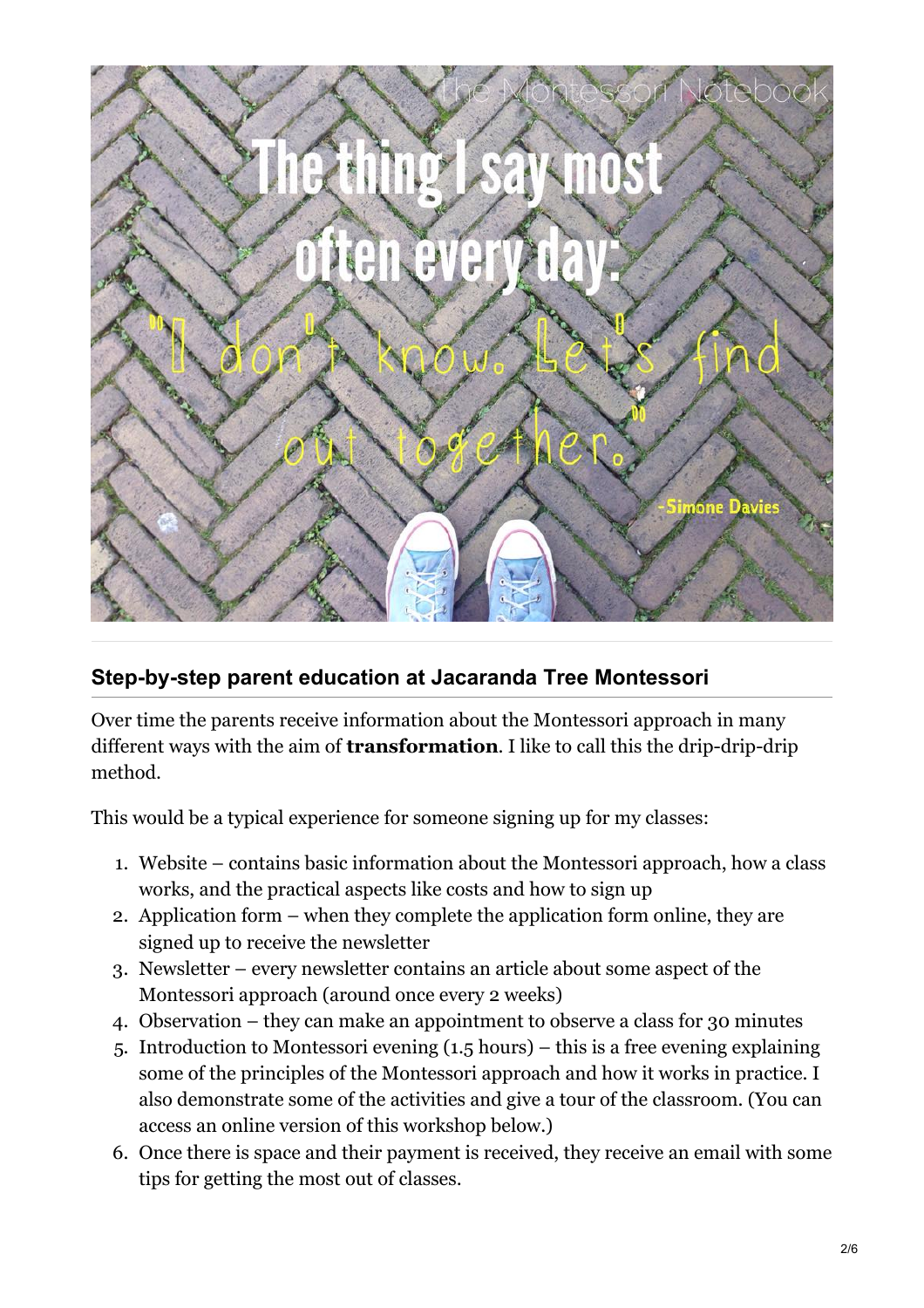

## **Step-by-step parent education at Jacaranda Tree Montessori**

Over time the parents receive information about the Montessori approach in many different ways with the aim of **transformation**. I like to call this the drip-drip-drip method.

This would be a typical experience for someone signing up for my classes:

- 1. Website contains basic information about the Montessori approach, how a class works, and the practical aspects like costs and how to sign up
- 2. Application form when they complete the application form online, they are signed up to receive the newsletter
- 3. Newsletter every newsletter contains an article about some aspect of the Montessori approach (around once every 2 weeks)
- 4. Observation they can make an appointment to observe a class for 30 minutes
- 5. Introduction to Montessori evening (1.5 hours) this is a free evening explaining some of the principles of the Montessori approach and how it works in practice. I also demonstrate some of the activities and give a tour of the classroom. (You can access an online version of this workshop below.)
- 6. Once there is space and their payment is received, they receive an email with some tips for getting the most out of classes.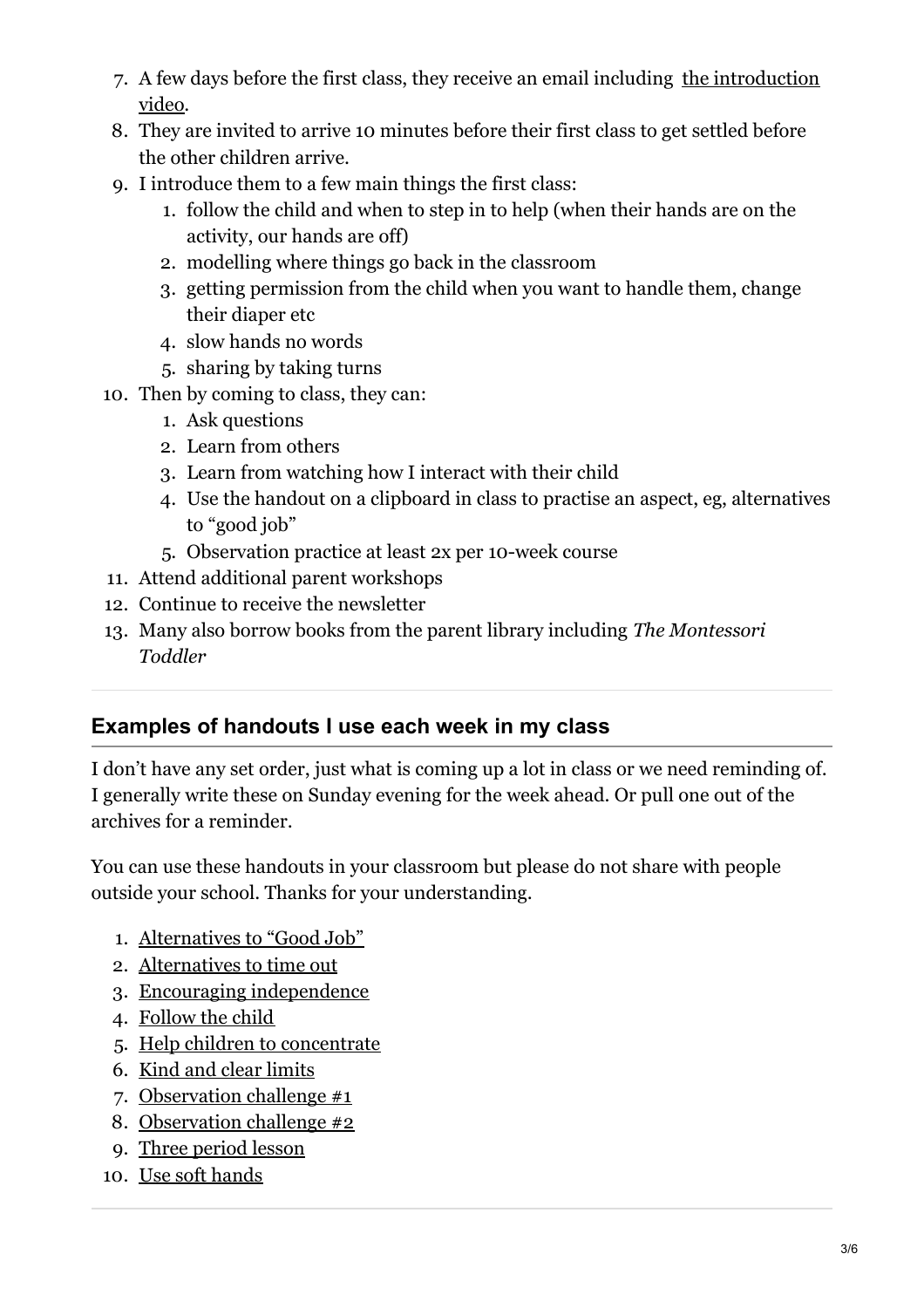- 7. A few days before the first class, they receive an email including the [introduction](http://www.jacarandatreemontessori.nl/short-introduction-jacaranda-tree-montessori/) video.
- 8. They are invited to arrive 10 minutes before their first class to get settled before the other children arrive.
- 9. I introduce them to a few main things the first class:
	- 1. follow the child and when to step in to help (when their hands are on the activity, our hands are off)
	- 2. modelling where things go back in the classroom
	- 3. getting permission from the child when you want to handle them, change their diaper etc
	- 4. slow hands no words
	- 5. sharing by taking turns
- 10. Then by coming to class, they can:
	- 1. Ask questions
	- 2. Learn from others
	- 3. Learn from watching how I interact with their child
	- 4. Use the handout on a clipboard in class to practise an aspect, eg, alternatives to "good job"
	- 5. Observation practice at least 2x per 10-week course
- 11. Attend additional parent workshops
- 12. Continue to receive the newsletter
- 13. Many also borrow books from the parent library including *The Montessori Toddler*

## **Examples of handouts I use each week in my class**

I don't have any set order, just what is coming up a lot in class or we need reminding of. I generally write these on Sunday evening for the week ahead. Or pull one out of the archives for a reminder.

You can use these handouts in your classroom but please do not share with people outside your school. Thanks for your understanding.

- 1. [Alternatives](https://www.themontessorinotebook.com/wp-content/uploads/2019/07/Alternativestogoodjob.pdf) to "Good Job"
- 2. [Alternatives](https://www.themontessorinotebook.com/wp-content/uploads/2019/07/Alternativestotimeout.pdf) to time out
- 3. Encouraging [independence](https://www.themontessorinotebook.com/wp-content/uploads/2019/07/Encouragingindependence.pdf)
- 4. [Follow](https://www.themontessorinotebook.com/wp-content/uploads/2019/07/Followthechild.pdf) the child
- 5. Help children to [concentrate](https://www.themontessorinotebook.com/wp-content/uploads/2019/07/Helpchildrentoconcentratechallenge.pdf)
- 6. Kind and clear [limits](https://www.themontessorinotebook.com/wp-content/uploads/2019/07/Kindandclearlimits.pdf)
- 7. [Observation](https://www.themontessorinotebook.com/wp-content/uploads/2019/07/Observationchallenge.pdf) challenge #1
- 8. [Observation](https://www.themontessorinotebook.com/wp-content/uploads/2019/07/Observationchallenge2.pdf) challenge #2
- 9. Three [period](https://www.themontessorinotebook.com/wp-content/uploads/2019/07/Threeperiodlesson.pdf) lesson
- 10. Use soft [hands](https://www.themontessorinotebook.com/wp-content/uploads/2019/07/Usesofthands.pdf)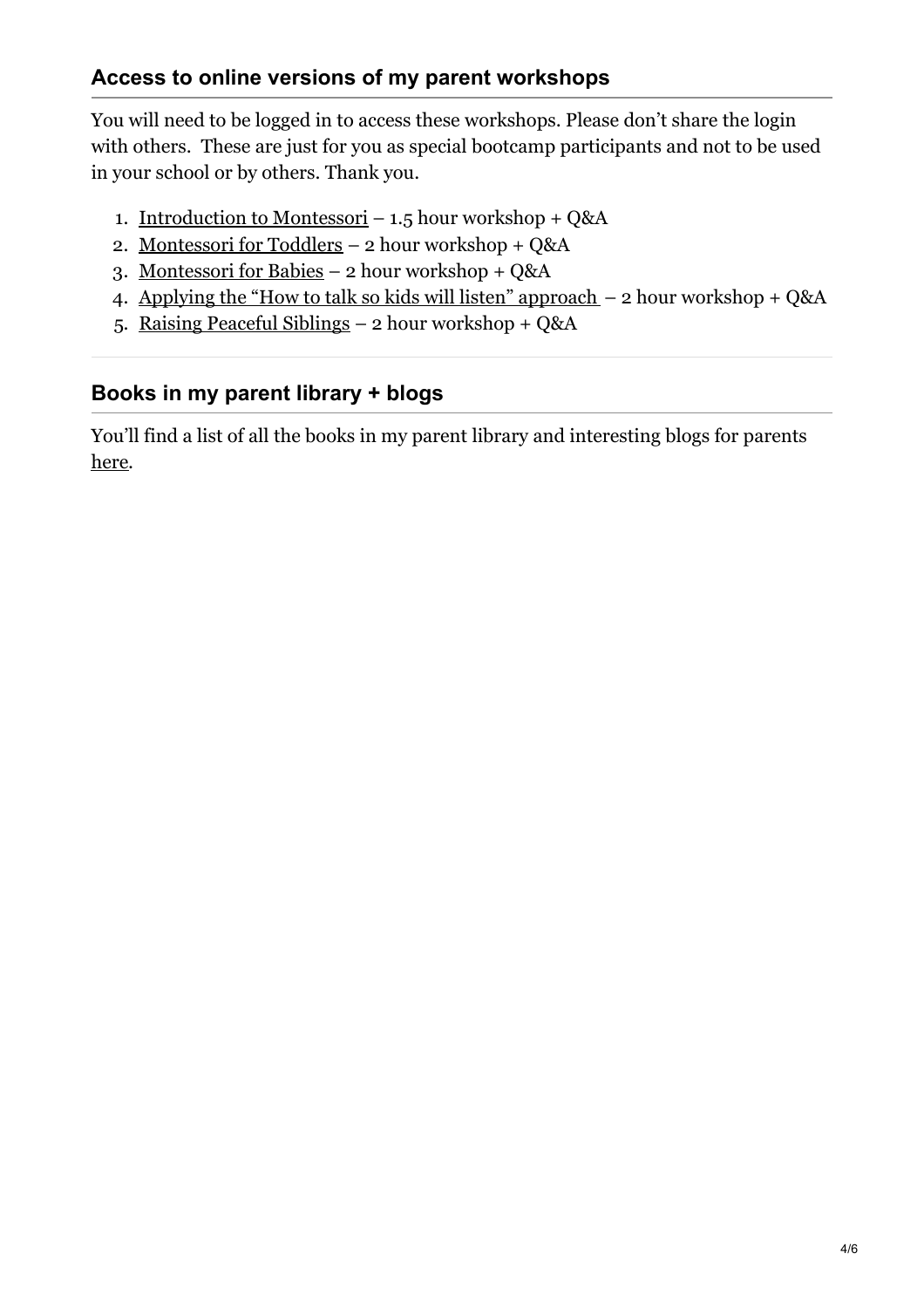You will need to be logged in to access these workshops. Please don't share the login with others. These are just for you as special bootcamp participants and not to be used in your school or by others. Thank you.

- 1. [Introduction](https://www.themontessorinotebook.com/introduction-to-montessori-workshop/) to Montessori 1.5 hour workshop + Q&A
- 2. [Montessori](https://www.themontessorinotebook.com/montessori-toddlers-workshop-paid-participants/) for Toddlers 2 hour workshop + Q&A
- 3. [Montessori](https://www.themontessorinotebook.com/montessori-babies-online-workshop-paid-partipants/) for Babies 2 hour workshop + Q&A
- 4. Applying the "How to talk so kids will listen" [approach](https://www.themontessorinotebook.com/applying-talk-kids-will-listen-approach-paid-participants-2/) 2 hour workshop + Q&A
- 5. Raising [Peaceful](https://www.themontessorinotebook.com/raising-peaceful-siblings-paid-participants/) Siblings 2 hour workshop + Q&A

## **Books in my parent library + blogs**

You'll find a list of all the books in my parent library and interesting blogs for parents [here](https://www.themontessorinotebook.com/setting-up-a-montessori-playgroup-self-study/extra-resources-self-study/books-resources-parents-self-study/).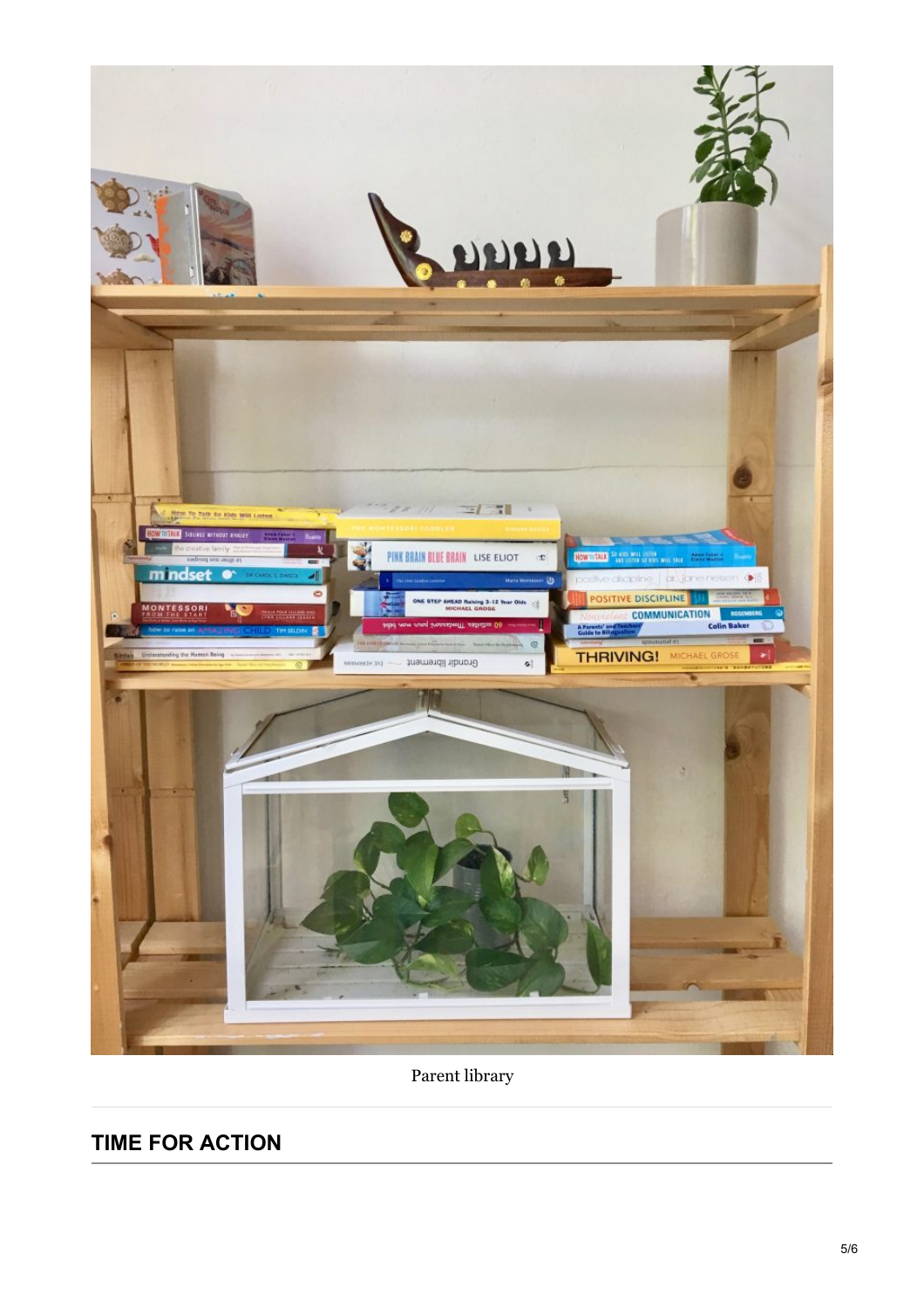

Parent library

# **TIME FOR ACTION**